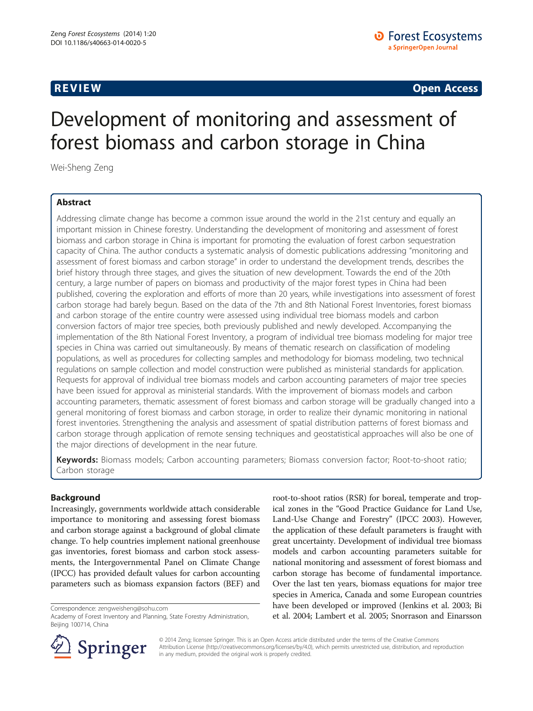**REVIEW REVIEW CONSTRUCTER CONSTRUCTION** 

# Development of monitoring and assessment of forest biomass and carbon storage in China

Wei-Sheng Zeng

#### Abstract

Addressing climate change has become a common issue around the world in the 21st century and equally an important mission in Chinese forestry. Understanding the development of monitoring and assessment of forest biomass and carbon storage in China is important for promoting the evaluation of forest carbon sequestration capacity of China. The author conducts a systematic analysis of domestic publications addressing "monitoring and assessment of forest biomass and carbon storage" in order to understand the development trends, describes the brief history through three stages, and gives the situation of new development. Towards the end of the 20th century, a large number of papers on biomass and productivity of the major forest types in China had been published, covering the exploration and efforts of more than 20 years, while investigations into assessment of forest carbon storage had barely begun. Based on the data of the 7th and 8th National Forest Inventories, forest biomass and carbon storage of the entire country were assessed using individual tree biomass models and carbon conversion factors of major tree species, both previously published and newly developed. Accompanying the implementation of the 8th National Forest Inventory, a program of individual tree biomass modeling for major tree species in China was carried out simultaneously. By means of thematic research on classification of modeling populations, as well as procedures for collecting samples and methodology for biomass modeling, two technical regulations on sample collection and model construction were published as ministerial standards for application. Requests for approval of individual tree biomass models and carbon accounting parameters of major tree species have been issued for approval as ministerial standards. With the improvement of biomass models and carbon accounting parameters, thematic assessment of forest biomass and carbon storage will be gradually changed into a general monitoring of forest biomass and carbon storage, in order to realize their dynamic monitoring in national forest inventories. Strengthening the analysis and assessment of spatial distribution patterns of forest biomass and carbon storage through application of remote sensing techniques and geostatistical approaches will also be one of the major directions of development in the near future.

Keywords: Biomass models; Carbon accounting parameters; Biomass conversion factor; Root-to-shoot ratio; Carbon storage

#### Background

Increasingly, governments worldwide attach considerable importance to monitoring and assessing forest biomass and carbon storage against a background of global climate change. To help countries implement national greenhouse gas inventories, forest biomass and carbon stock assessments, the Intergovernmental Panel on Climate Change (IPCC) has provided default values for carbon accounting parameters such as biomass expansion factors (BEF) and

Correspondence: [zengweisheng@sohu.com](mailto:zengweisheng@sohu.com)

root-to-shoot ratios (RSR) for boreal, temperate and tropical zones in the "Good Practice Guidance for Land Use, Land-Use Change and Forestry" (IPCC [2003\)](#page-8-0). However, the application of these default parameters is fraught with great uncertainty. Development of individual tree biomass models and carbon accounting parameters suitable for national monitoring and assessment of forest biomass and carbon storage has become of fundamental importance. Over the last ten years, biomass equations for major tree species in America, Canada and some European countries have been developed or improved (Jenkins et al. [2003;](#page-8-0) Bi et al. [2004;](#page-8-0) Lambert et al. [2005;](#page-8-0) Snorrason and Einarsson



© 2014 Zeng; licensee Springer. This is an Open Access article distributed under the terms of the Creative Commons Attribution License [\(http://creativecommons.org/licenses/by/4.0\)](http://creativecommons.org/licenses/by/4.0), which permits unrestricted use, distribution, and reproduction in any medium, provided the original work is properly credited.

Academy of Forest Inventory and Planning, State Forestry Administration, Beijing 100714, China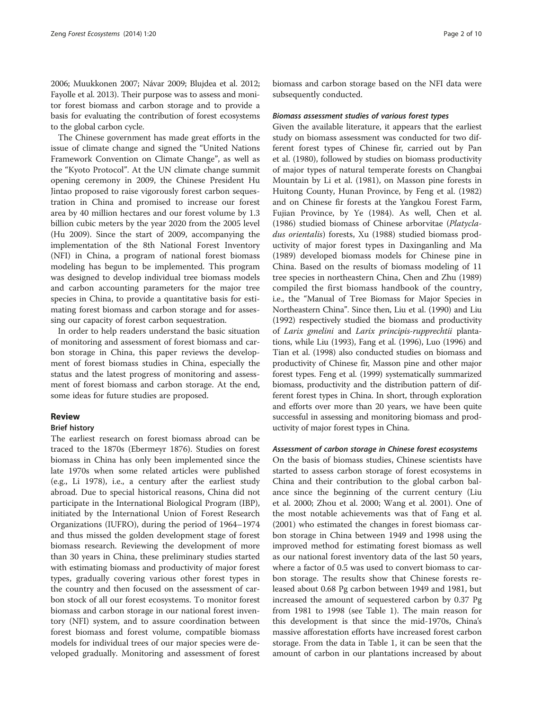[2006;](#page-8-0) Muukkonen [2007;](#page-8-0) Návar [2009;](#page-8-0) Blujdea et al. [2012](#page-8-0); Fayolle et al. [2013\)](#page-8-0). Their purpose was to assess and monitor forest biomass and carbon storage and to provide a basis for evaluating the contribution of forest ecosystems to the global carbon cycle.

The Chinese government has made great efforts in the issue of climate change and signed the "United Nations Framework Convention on Climate Change", as well as the "Kyoto Protocol". At the UN climate change summit opening ceremony in 2009, the Chinese President Hu Jintao proposed to raise vigorously forest carbon sequestration in China and promised to increase our forest area by 40 million hectares and our forest volume by 1.3 billion cubic meters by the year 2020 from the 2005 level (Hu [2009](#page-8-0)). Since the start of 2009, accompanying the implementation of the 8th National Forest Inventory (NFI) in China, a program of national forest biomass modeling has begun to be implemented. This program was designed to develop individual tree biomass models and carbon accounting parameters for the major tree species in China, to provide a quantitative basis for estimating forest biomass and carbon storage and for assessing our capacity of forest carbon sequestration.

In order to help readers understand the basic situation of monitoring and assessment of forest biomass and carbon storage in China, this paper reviews the development of forest biomass studies in China, especially the status and the latest progress of monitoring and assessment of forest biomass and carbon storage. At the end, some ideas for future studies are proposed.

#### Review

#### Brief history

The earliest research on forest biomass abroad can be traced to the 1870s (Ebermeyr [1876\)](#page-8-0). Studies on forest biomass in China has only been implemented since the late 1970s when some related articles were published (e.g., Li [1978\)](#page-8-0), i.e., a century after the earliest study abroad. Due to special historical reasons, China did not participate in the International Biological Program (IBP), initiated by the International Union of Forest Research Organizations (IUFRO), during the period of 1964–1974 and thus missed the golden development stage of forest biomass research. Reviewing the development of more than 30 years in China, these preliminary studies started with estimating biomass and productivity of major forest types, gradually covering various other forest types in the country and then focused on the assessment of carbon stock of all our forest ecosystems. To monitor forest biomass and carbon storage in our national forest inventory (NFI) system, and to assure coordination between forest biomass and forest volume, compatible biomass models for individual trees of our major species were developed gradually. Monitoring and assessment of forest biomass and carbon storage based on the NFI data were subsequently conducted.

#### Biomass assessment studies of various forest types

Given the available literature, it appears that the earliest study on biomass assessment was conducted for two different forest types of Chinese fir, carried out by Pan et al. ([1980](#page-8-0)), followed by studies on biomass productivity of major types of natural temperate forests on Changbai Mountain by Li et al. ([1981](#page-8-0)), on Masson pine forests in Huitong County, Hunan Province, by Feng et al. ([1982](#page-8-0)) and on Chinese fir forests at the Yangkou Forest Farm, Fujian Province, by Ye [\(1984\)](#page-9-0). As well, Chen et al. ([1986\)](#page-8-0) studied biomass of Chinese arborvitae (Platycladus orientalis) forests, Xu [\(1988\)](#page-9-0) studied biomass productivity of major forest types in Daxinganling and Ma ([1989\)](#page-8-0) developed biomass models for Chinese pine in China. Based on the results of biomass modeling of 11 tree species in northeastern China, Chen and Zhu [\(1989](#page-8-0)) compiled the first biomass handbook of the country, i.e., the "Manual of Tree Biomass for Major Species in Northeastern China". Since then, Liu et al. [\(1990](#page-8-0)) and Liu ([1992](#page-8-0)) respectively studied the biomass and productivity of Larix gmelini and Larix principis-rupprechtii plantations, while Liu [\(1993\)](#page-8-0), Fang et al. ([1996](#page-8-0)), Luo [\(1996](#page-8-0)) and Tian et al. [\(1998](#page-9-0)) also conducted studies on biomass and productivity of Chinese fir, Masson pine and other major forest types. Feng et al. [\(1999\)](#page-8-0) systematically summarized biomass, productivity and the distribution pattern of different forest types in China. In short, through exploration and efforts over more than 20 years, we have been quite successful in assessing and monitoring biomass and productivity of major forest types in China.

#### Assessment of carbon storage in Chinese forest ecosystems

On the basis of biomass studies, Chinese scientists have started to assess carbon storage of forest ecosystems in China and their contribution to the global carbon balance since the beginning of the current century (Liu et al. [2000](#page-8-0); Zhou et al. [2000](#page-9-0); Wang et al. [2001\)](#page-9-0). One of the most notable achievements was that of Fang et al. ([2001\)](#page-8-0) who estimated the changes in forest biomass carbon storage in China between 1949 and 1998 using the improved method for estimating forest biomass as well as our national forest inventory data of the last 50 years, where a factor of 0.5 was used to convert biomass to carbon storage. The results show that Chinese forests released about 0.68 Pg carbon between 1949 and 1981, but increased the amount of sequestered carbon by 0.37 Pg from 1981 to 1998 (see Table [1\)](#page-2-0). The main reason for this development is that since the mid-1970s, China's massive afforestation efforts have increased forest carbon storage. From the data in Table [1,](#page-2-0) it can be seen that the amount of carbon in our plantations increased by about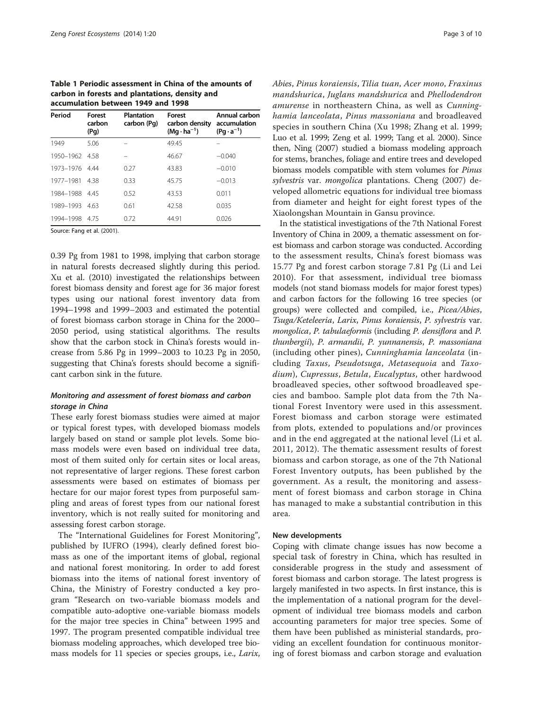<span id="page-2-0"></span>Table 1 Periodic assessment in China of the amounts of carbon in forests and plantations, density and accumulation between 1949 and 1998

| Period    | <b>Forest</b><br>carbon<br>(Pg) | <b>Plantation</b><br>carbon (Pg) | <b>Forest</b><br>carbon density<br>$(Mq \cdot ha^{-1})$ | Annual carbon<br>accumulation<br>$(Pq \cdot a^{-1})$ |
|-----------|---------------------------------|----------------------------------|---------------------------------------------------------|------------------------------------------------------|
| 1949      | 5.06                            |                                  | 49.45                                                   |                                                      |
| 1950-1962 | 458                             |                                  | 46.67                                                   | $-0.040$                                             |
| 1973-1976 | 4.44                            | 0.27                             | 43.83                                                   | $-0.010$                                             |
| 1977-1981 | 438                             | 0.33                             | 45.75                                                   | $-0.013$                                             |
| 1984-1988 | -445                            | 0.52                             | 43.53                                                   | 0.011                                                |
| 1989-1993 | 463                             | 0.61                             | 42.58                                                   | 0.035                                                |
| 1994-1998 | 4.75                            | 0.72                             | 44.91                                                   | 0.026                                                |

Source: Fang et al. ([2001](#page-8-0)).

0.39 Pg from 1981 to 1998, implying that carbon storage in natural forests decreased slightly during this period. Xu et al. [\(2010](#page-9-0)) investigated the relationships between forest biomass density and forest age for 36 major forest types using our national forest inventory data from 1994–1998 and 1999–2003 and estimated the potential of forest biomass carbon storage in China for the 2000– 2050 period, using statistical algorithms. The results show that the carbon stock in China's forests would increase from 5.86 Pg in 1999–2003 to 10.23 Pg in 2050, suggesting that China's forests should become a significant carbon sink in the future.

#### Monitoring and assessment of forest biomass and carbon storage in China

These early forest biomass studies were aimed at major or typical forest types, with developed biomass models largely based on stand or sample plot levels. Some biomass models were even based on individual tree data, most of them suited only for certain sites or local areas, not representative of larger regions. These forest carbon assessments were based on estimates of biomass per hectare for our major forest types from purposeful sampling and areas of forest types from our national forest inventory, which is not really suited for monitoring and assessing forest carbon storage.

The "International Guidelines for Forest Monitoring", published by IUFRO ([1994](#page-8-0)), clearly defined forest biomass as one of the important items of global, regional and national forest monitoring. In order to add forest biomass into the items of national forest inventory of China, the Ministry of Forestry conducted a key program "Research on two-variable biomass models and compatible auto-adoptive one-variable biomass models for the major tree species in China" between 1995 and 1997. The program presented compatible individual tree biomass modeling approaches, which developed tree biomass models for 11 species or species groups, i.e., *Larix*, Abies, Pinus koraiensis, Tilia tuan, Acer mono, Fraxinus mandshurica, Juglans mandshurica and Phellodendron amurense in northeastern China, as well as Cunninghamia lanceolata, Pinus massoniana and broadleaved species in southern China (Xu [1998](#page-9-0); Zhang et al. [1999](#page-9-0); Luo et al. [1999](#page-8-0); Zeng et al. [1999;](#page-9-0) Tang et al. [2000\)](#page-9-0). Since then, Ning ([2007\)](#page-8-0) studied a biomass modeling approach for stems, branches, foliage and entire trees and developed biomass models compatible with stem volumes for Pinus sylvestris var. mongolica plantations. Cheng ([2007\)](#page-8-0) developed allometric equations for individual tree biomass from diameter and height for eight forest types of the Xiaolongshan Mountain in Gansu province.

In the statistical investigations of the 7th National Forest Inventory of China in 2009, a thematic assessment on forest biomass and carbon storage was conducted. According to the assessment results, China's forest biomass was 15.77 Pg and forest carbon storage 7.81 Pg (Li and Lei [2010](#page-8-0)). For that assessment, individual tree biomass models (not stand biomass models for major forest types) and carbon factors for the following 16 tree species (or groups) were collected and compiled, i.e., Picea/Abies, Tsuga/Keteleeria, Larix, Pinus koraiensis, P. sylvestris var. mongolica, P. tabulaeformis (including P. densiflora and P. thunbergii), P. armandii, P. yunnanensis, P. massoniana (including other pines), Cunninghamia lanceolata (including Taxus, Pseudotsuga, Metasequoia and Taxodium), Cupressus, Betula, Eucalyptus, other hardwood broadleaved species, other softwood broadleaved species and bamboo. Sample plot data from the 7th National Forest Inventory were used in this assessment. Forest biomass and carbon storage were estimated from plots, extended to populations and/or provinces and in the end aggregated at the national level (Li et al. [2011](#page-8-0), [2012](#page-8-0)). The thematic assessment results of forest biomass and carbon storage, as one of the 7th National Forest Inventory outputs, has been published by the government. As a result, the monitoring and assessment of forest biomass and carbon storage in China has managed to make a substantial contribution in this area.

#### New developments

Coping with climate change issues has now become a special task of forestry in China, which has resulted in considerable progress in the study and assessment of forest biomass and carbon storage. The latest progress is largely manifested in two aspects. In first instance, this is the implementation of a national program for the development of individual tree biomass models and carbon accounting parameters for major tree species. Some of them have been published as ministerial standards, providing an excellent foundation for continuous monitoring of forest biomass and carbon storage and evaluation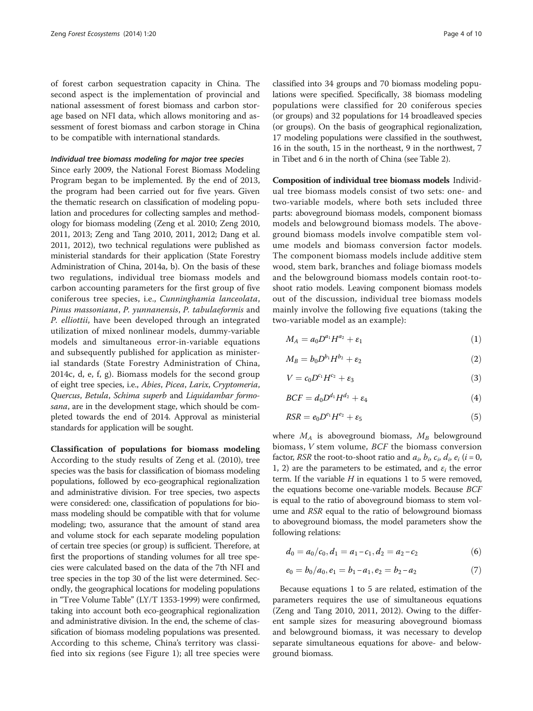<span id="page-3-0"></span>of forest carbon sequestration capacity in China. The second aspect is the implementation of provincial and national assessment of forest biomass and carbon storage based on NFI data, which allows monitoring and assessment of forest biomass and carbon storage in China to be compatible with international standards.

#### Individual tree biomass modeling for major tree species

Since early 2009, the National Forest Biomass Modeling Program began to be implemented. By the end of 2013, the program had been carried out for five years. Given the thematic research on classification of modeling population and procedures for collecting samples and methodology for biomass modeling (Zeng et al. [2010](#page-9-0); Zeng [2010](#page-9-0), [2011, 2013;](#page-9-0) Zeng and Tang [2010, 2011, 2012](#page-9-0); Dang et al. [2011, 2012](#page-8-0)), two technical regulations were published as ministerial standards for their application (State Forestry Administration of China, [2014a](#page-8-0), [b\)](#page-8-0). On the basis of these two regulations, individual tree biomass models and carbon accounting parameters for the first group of five coniferous tree species, i.e., Cunninghamia lanceolata, Pinus massoniana, P. yunnanensis, P. tabulaeformis and P. elliottii, have been developed through an integrated utilization of mixed nonlinear models, dummy-variable models and simultaneous error-in-variable equations and subsequently published for application as ministerial standards (State Forestry Administration of China, [2014c](#page-8-0), [d](#page-8-0), [e,](#page-8-0) [f](#page-9-0), [g\)](#page-9-0). Biomass models for the second group of eight tree species, i.e., Abies, Picea, Larix, Cryptomeria, Quercus, Betula, Schima superb and Liquidambar formosana, are in the development stage, which should be completed towards the end of 2014. Approval as ministerial standards for application will be sought.

Classification of populations for biomass modeling According to the study results of Zeng et al. ([2010](#page-9-0)), tree species was the basis for classification of biomass modeling populations, followed by eco-geographical regionalization and administrative division. For tree species, two aspects were considered: one, classification of populations for biomass modeling should be compatible with that for volume modeling; two, assurance that the amount of stand area and volume stock for each separate modeling population of certain tree species (or group) is sufficient. Therefore, at first the proportions of standing volumes for all tree species were calculated based on the data of the 7th NFI and tree species in the top 30 of the list were determined. Secondly, the geographical locations for modeling populations in "Tree Volume Table" (LY/T 1353-1999) were confirmed, taking into account both eco-geographical regionalization and administrative division. In the end, the scheme of classification of biomass modeling populations was presented. According to this scheme, China's territory was classified into six regions (see Figure [1](#page-4-0)); all tree species were

classified into 34 groups and 70 biomass modeling populations were specified. Specifically, 38 biomass modeling populations were classified for 20 coniferous species (or groups) and 32 populations for 14 broadleaved species (or groups). On the basis of geographical regionalization, 17 modeling populations were classified in the southwest, 16 in the south, 15 in the northeast, 9 in the northwest, 7 in Tibet and 6 in the north of China (see Table [2](#page-5-0)).

Composition of individual tree biomass models Individual tree biomass models consist of two sets: one- and two-variable models, where both sets included three parts: aboveground biomass models, component biomass models and belowground biomass models. The aboveground biomass models involve compatible stem volume models and biomass conversion factor models. The component biomass models include additive stem wood, stem bark, branches and foliage biomass models and the belowground biomass models contain root-toshoot ratio models. Leaving component biomass models out of the discussion, individual tree biomass models mainly involve the following five equations (taking the two-variable model as an example):

$$
M_A = a_0 D^{a_1} H^{a_2} + \varepsilon_1 \tag{1}
$$

$$
M_B = b_0 D^{b_1} H^{b_2} + \varepsilon_2 \tag{2}
$$

$$
V = c_0 D^{c_1} H^{c_2} + \varepsilon_3 \tag{3}
$$

$$
BCF = d_0 D^{d_1} H^{d_2} + \varepsilon_4 \tag{4}
$$

$$
RSR = e_0 D^{e_1} H^{e_2} + \varepsilon_5 \tag{5}
$$

where  $M_A$  is aboveground biomass,  $M_B$  belowground biomass, V stem volume, BCF the biomass conversion factor, *RSR* the root-to-shoot ratio and  $a_i$ ,  $b_i$ ,  $c_i$ ,  $d_i$ ,  $e_i$  ( $i = 0$ , 1, 2) are the parameters to be estimated, and  $\varepsilon_i$  the error term. If the variable  $H$  in equations 1 to 5 were removed, the equations become one-variable models. Because BCF is equal to the ratio of aboveground biomass to stem volume and RSR equal to the ratio of belowground biomass to aboveground biomass, the model parameters show the following relations:

$$
d_0 = a_0/c_0, d_1 = a_1 - c_1, d_2 = a_2 - c_2 \tag{6}
$$

$$
e_0 = b_0/a_0, e_1 = b_1 - a_1, e_2 = b_2 - a_2 \tag{7}
$$

Because equations 1 to 5 are related, estimation of the parameters requires the use of simultaneous equations (Zeng and Tang [2010](#page-9-0), [2011, 2012](#page-9-0)). Owing to the different sample sizes for measuring aboveground biomass and belowground biomass, it was necessary to develop separate simultaneous equations for above- and belowground biomass.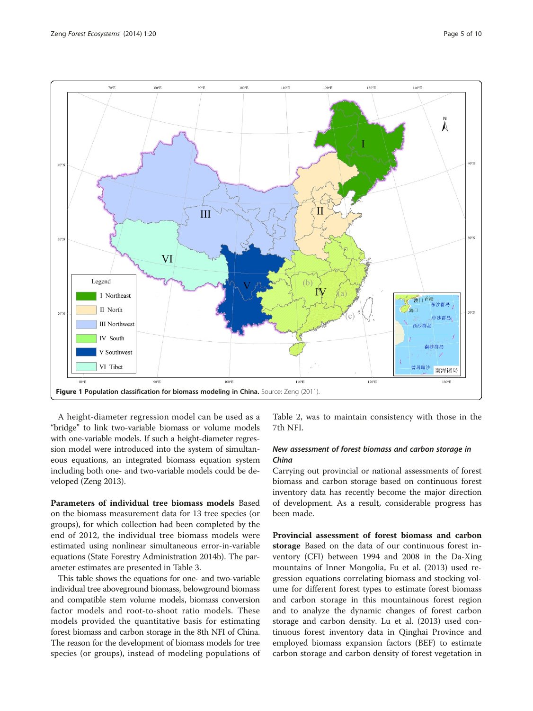<span id="page-4-0"></span>

A height-diameter regression model can be used as a "bridge" to link two-variable biomass or volume models with one-variable models. If such a height-diameter regression model were introduced into the system of simultaneous equations, an integrated biomass equation system including both one- and two-variable models could be developed (Zeng [2013](#page-9-0)).

Parameters of individual tree biomass models Based on the biomass measurement data for 13 tree species (or groups), for which collection had been completed by the end of 2012, the individual tree biomass models were estimated using nonlinear simultaneous error-in-variable equations (State Forestry Administration 2014b). The parameter estimates are presented in Table [3.](#page-6-0)

This table shows the equations for one- and two-variable individual tree aboveground biomass, belowground biomass and compatible stem volume models, biomass conversion factor models and root-to-shoot ratio models. These models provided the quantitative basis for estimating forest biomass and carbon storage in the 8th NFI of China. The reason for the development of biomass models for tree species (or groups), instead of modeling populations of

Table [2](#page-5-0), was to maintain consistency with those in the 7th NFI.

#### New assessment of forest biomass and carbon storage in China

Carrying out provincial or national assessments of forest biomass and carbon storage based on continuous forest inventory data has recently become the major direction of development. As a result, considerable progress has been made.

Provincial assessment of forest biomass and carbon storage Based on the data of our continuous forest inventory (CFI) between 1994 and 2008 in the Da-Xing mountains of Inner Mongolia, Fu et al. [\(2013](#page-8-0)) used regression equations correlating biomass and stocking volume for different forest types to estimate forest biomass and carbon storage in this mountainous forest region and to analyze the dynamic changes of forest carbon storage and carbon density. Lu et al. ([2013](#page-8-0)) used continuous forest inventory data in Qinghai Province and employed biomass expansion factors (BEF) to estimate carbon storage and carbon density of forest vegetation in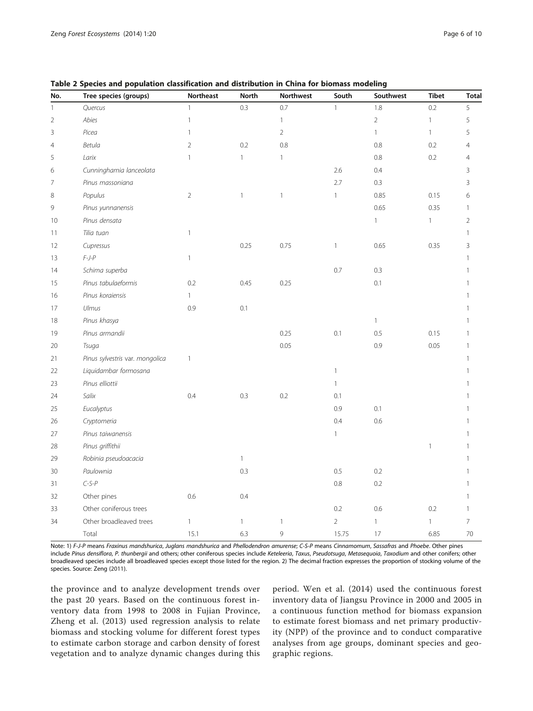| No.            | Tree species (groups)           | Northeast      | <b>North</b> | <b>Northwest</b> | South          | Southwest      | <b>Tibet</b> | <b>Total</b>   |
|----------------|---------------------------------|----------------|--------------|------------------|----------------|----------------|--------------|----------------|
| $\mathbf{1}$   | Quercus                         | $\mathbf{1}$   | 0.3          | 0.7              | 1              | 1.8            | 0.2          | 5              |
| $\overline{2}$ | Abies                           | $\mathbf{1}$   |              | $\mathbf{1}$     |                | $\overline{2}$ | $\mathbf{1}$ | 5              |
| 3              | Picea                           | $\mathbf{1}$   |              | $\overline{2}$   |                | $\mathbf{1}$   | $\mathbf{1}$ | 5              |
| $\overline{4}$ | Betula                          | $\sqrt{2}$     | 0.2          | 0.8              |                | 0.8            | 0.2          | $\overline{4}$ |
| 5              | Larix                           | $\mathbf{1}$   | $\mathbf{1}$ | $\mathbf{1}$     |                | 0.8            | 0.2          | $\overline{4}$ |
| 6              | Cunninghamia lanceolata         |                |              |                  | 2.6            | 0.4            |              | 3              |
| $\overline{7}$ | Pinus massoniana                |                |              |                  | 2.7            | 0.3            |              | 3              |
| 8              | Populus                         | $\overline{2}$ | $\mathbf{1}$ | $\mathbf{1}$     | $\mathbf{1}$   | 0.85           | 0.15         | 6              |
| 9              | Pinus yunnanensis               |                |              |                  |                | 0.65           | 0.35         | $\mathbf{1}$   |
| 10             | Pinus densata                   |                |              |                  |                | $\mathbf{1}$   | $\mathbf{1}$ | $\overline{2}$ |
| 11             | Tilia tuan                      | $\mathbf{1}$   |              |                  |                |                |              | $\mathbf{1}$   |
| 12             | Cupressus                       |                | 0.25         | 0.75             | $\mathbf{1}$   | 0.65           | 0.35         | 3              |
| 13             | $F-J-P$                         | $\mathbf{1}$   |              |                  |                |                |              | $\mathbf{1}$   |
| 14             | Schima superba                  |                |              |                  | 0.7            | 0.3            |              | $\mathbf{1}$   |
| 15             | Pinus tabulaeformis             | 0.2            | 0.45         | 0.25             |                | 0.1            |              | $\mathbf{1}$   |
| 16             | Pinus koraiensis                | $\mathbf{1}$   |              |                  |                |                |              | 1              |
| 17             | Ulmus                           | 0.9            | 0.1          |                  |                |                |              | 1              |
| 18             | Pinus khasya                    |                |              |                  |                | $\mathbf{1}$   |              | 1              |
| 19             | Pinus armandii                  |                |              | 0.25             | 0.1            | 0.5            | 0.15         | 1              |
| 20             | Tsuga                           |                |              | 0.05             |                | 0.9            | 0.05         | $\mathbf{1}$   |
| 21             | Pinus sylvestris var. mongolica | $\mathbf{1}$   |              |                  |                |                |              | $\mathbf{1}$   |
| 22             | Liquidambar formosana           |                |              |                  | $\mathbf{1}$   |                |              | $\mathbf{1}$   |
| 23             | Pinus elliottii                 |                |              |                  | $\mathbf{1}$   |                |              | $\mathbf{1}$   |
| 24             | Salix                           | 0.4            | 0.3          | 0.2              | 0.1            |                |              | $\mathbf{1}$   |
| 25             | Eucalyptus                      |                |              |                  | 0.9            | 0.1            |              | 1              |
| 26             | Cryptomeria                     |                |              |                  | 0.4            | 0.6            |              | 1              |
| 27             | Pinus taiwanensis               |                |              |                  | $\mathbf{1}$   |                |              | 1              |
| 28             | Pinus griffithii                |                |              |                  |                |                | $\mathbf{1}$ | 1              |
| 29             | Robinia pseudoacacia            |                | $\mathbf{1}$ |                  |                |                |              | 1              |
| 30             | Paulownia                       |                | 0.3          |                  | 0.5            | 0.2            |              | $\mathbf{1}$   |
| 31             | $C-S-P$                         |                |              |                  | 0.8            | 0.2            |              | $\mathbf{1}$   |
| 32             | Other pines                     | 0.6            | 0.4          |                  |                |                |              | $\mathbf{1}$   |
| 33             | Other coniferous trees          |                |              |                  | 0.2            | 0.6            | 0.2          | 1              |
| 34             | Other broadleaved trees         | $\mathbf{1}$   | $\mathbf{1}$ | $\mathbf{1}$     | $\overline{2}$ | $\mathbf{1}$   | $\mathbf{1}$ | $\overline{7}$ |
|                | Total                           | 15.1           | 6.3          | 9                | 15.75          | 17             | 6.85         | 70             |

<span id="page-5-0"></span>Table 2 Species and population classification and distribution in China for biomass modeling

Note: 1) F-J-P means Fraxinus mandshurica, Juglans mandshurica and Phellodendron amurense; C-S-P means Cinnamomum, Sassafras and Phoebe. Other pines include Pinus densiflora, P. thunbergii and others; other coniferous species include Keteleeria, Taxus, Pseudotsuga, Metasequoia, Taxodium and other conifers; other broadleaved species include all broadleaved species except those listed for the region. 2) The decimal fraction expresses the proportion of stocking volume of the species. Source: Zeng [\(2011](#page-9-0)).

the province and to analyze development trends over the past 20 years. Based on the continuous forest inventory data from 1998 to 2008 in Fujian Province, Zheng et al. ([2013\)](#page-9-0) used regression analysis to relate biomass and stocking volume for different forest types to estimate carbon storage and carbon density of forest vegetation and to analyze dynamic changes during this

period. Wen et al. ([2014](#page-9-0)) used the continuous forest inventory data of Jiangsu Province in 2000 and 2005 in a continuous function method for biomass expansion to estimate forest biomass and net primary productivity (NPP) of the province and to conduct comparative analyses from age groups, dominant species and geographic regions.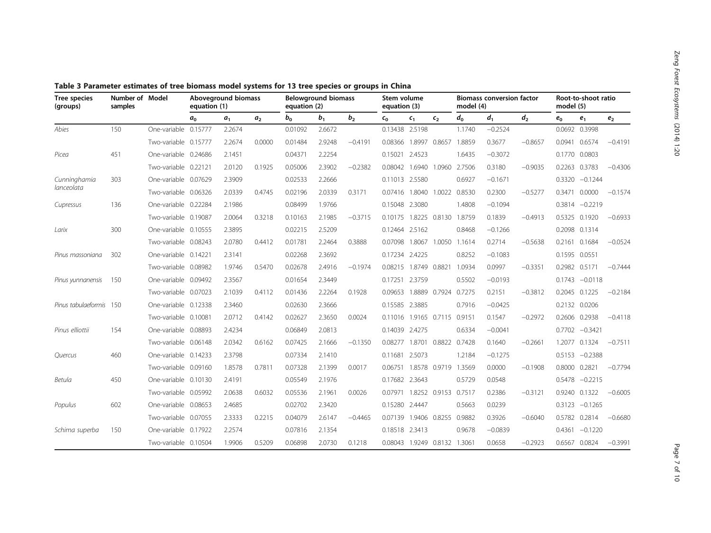| <b>Tree species</b><br>(groups) | Number of Model<br>samples |                      | Aboveground biomass<br>equation (1) |                | <b>Belowground biomass</b><br>equation (2) |         | Stem volume<br>equation (3) |                |                | <b>Biomass conversion factor</b><br>model (4) |                      |        | Root-to-shoot ratio<br>model (5) |           |        |                  |                |
|---------------------------------|----------------------------|----------------------|-------------------------------------|----------------|--------------------------------------------|---------|-----------------------------|----------------|----------------|-----------------------------------------------|----------------------|--------|----------------------------------|-----------|--------|------------------|----------------|
|                                 |                            |                      | a <sub>0</sub>                      | a <sub>1</sub> | a <sub>2</sub>                             | $b_{0}$ | $b_{1}$                     | b <sub>2</sub> | $c_{0}$        | $c_{1}$                                       | $c_{2}$              | $d_0$  | d <sub>1</sub>                   | $d_2$     | $e_0$  | e <sub>1</sub>   | e <sub>2</sub> |
| Abies                           | 150                        | One-variable 0.15777 |                                     | 2.2674         |                                            | 0.01092 | 2.6672                      |                | 0.13438 2.5198 |                                               |                      | 1.1740 | $-0.2524$                        |           |        | 0.0692 0.3998    |                |
|                                 |                            | Two-variable 0.15777 |                                     | 2.2674         | 0.0000                                     | 0.01484 | 2.9248                      | $-0.4191$      | 0.08366        | 1.8997                                        | 0.8657               | 1.8859 | 0.3677                           | $-0.8657$ | 0.0941 | 0.6574           | $-0.4191$      |
| Picea                           | 451                        | One-variable 0.24686 |                                     | 2.1451         |                                            | 0.04371 | 2.2254                      |                | 0.15021        | 2.4523                                        |                      | 1.6435 | $-0.3072$                        |           | 0.1770 | 0.0803           |                |
|                                 |                            | Two-variable 0.22121 |                                     | 2.0120         | 0.1925                                     | 0.05006 | 2.3902                      | $-0.2382$      | 0.08042        | 1.6940                                        | 1.0960               | 2.7506 | 0.3180                           | $-0.9035$ | 0.2263 | 0.3783           | $-0.4306$      |
| Cunninghamia                    | 303                        | One-variable 0.07629 |                                     | 2.3909         |                                            | 0.02533 | 2.2666                      |                | 0.11013 2.5580 |                                               |                      | 0.6927 | $-0.1671$                        |           | 0.3320 | $-0.1244$        |                |
| lanceolata                      |                            | Two-variable 0.06326 |                                     | 2.0339         | 0.4745                                     | 0.02196 | 2.0339                      | 0.3171         | 0.07416        | 1.8040                                        | 1.0022               | 0.8530 | 0.2300                           | $-0.5277$ | 0.3471 | 0.0000           | $-0.1574$      |
| Cupressus                       | 136                        | One-variable 0.22284 |                                     | 2.1986         |                                            | 0.08499 | 1.9766                      |                | 0.15048        | 2.3080                                        |                      | 1.4808 | $-0.1094$                        |           |        | $0.3814 -0.2219$ |                |
|                                 |                            | Two-variable 0.19087 |                                     | 2.0064         | 0.3218                                     | 0.10163 | 2.1985                      | $-0.3715$      | 0.10175        | 1.8225                                        | 0.8130               | 1.8759 | 0.1839                           | $-0.4913$ |        | 0.5325 0.1920    | $-0.6933$      |
| Larix                           | 300                        | One-variable 0.10555 |                                     | 2.3895         |                                            | 0.02215 | 2.5209                      |                | 0.12464        | 2.5162                                        |                      | 0.8468 | $-0.1266$                        |           |        | 0.2098 0.1314    |                |
|                                 |                            | Two-variable 0.08243 |                                     | 2.0780         | 0.4412                                     | 0.01781 | 2.2464                      | 0.3888         | 0.07098        | 1.8067                                        | 1.0050               | 1.1614 | 0.2714                           | $-0.5638$ | 0.2161 | 0.1684           | $-0.0524$      |
| Pinus massoniana                | 302                        | One-variable 0.14221 |                                     | 2.3141         |                                            | 0.02268 | 2.3692                      |                | 0.17234        | 2.4225                                        |                      | 0.8252 | $-0.1083$                        |           | 0.1595 | 0.0551           |                |
|                                 |                            | Two-variable 0.08982 |                                     | 1.9746         | 0.5470                                     | 0.02678 | 2.4916                      | $-0.1974$      | 0.08215        | 1.8749                                        | 0.8821               | 1.0934 | 0.0997                           | $-0.3351$ | 0.2982 | 0.5171           | $-0.7444$      |
| Pinus yunnanensis               | 150                        | One-variable 0.09492 |                                     | 2.3567         |                                            | 0.01654 | 2.3449                      |                | 0.17251        | 2.3759                                        |                      | 0.5502 | $-0.0193$                        |           | 0.1743 | $-0.0118$        |                |
|                                 |                            | Two-variable 0.07023 |                                     | 2.1039         | 0.4112                                     | 0.01436 | 2.2264                      | 0.1928         | 0.09653        | 1.8889                                        | 0.7924               | 0.7275 | 0.2151                           | $-0.3812$ | 0.2045 | 0.1225           | $-0.2184$      |
| Pinus tabulaeformis 150         |                            | One-variable 0.12338 |                                     | 2.3460         |                                            | 0.02630 | 2.3666                      |                | 0.15585 2.3885 |                                               |                      | 0.7916 | $-0.0425$                        |           |        | 0.2132 0.0206    |                |
|                                 |                            | Two-variable 0.10081 |                                     | 2.0712         | 0.4142                                     | 0.02627 | 2.3650                      | 0.0024         | 0.11016        |                                               | 1.9165 0.7115        | 0.9151 | 0.1547                           | $-0.2972$ | 0.2606 | 0.2938           | $-0.4118$      |
| Pinus elliottii                 | 154                        | One-variable 0.08893 |                                     | 2.4234         |                                            | 0.06849 | 2.0813                      |                | 0.14039        | 2.4275                                        |                      | 0.6334 | $-0.0041$                        |           |        | $0.7702 -0.3421$ |                |
|                                 |                            | Two-variable 0.06148 |                                     | 2.0342         | 0.6162                                     | 0.07425 | 2.1666                      | $-0.1350$      | 0.08277        | 1.8701                                        | 0.8822               | 0.7428 | 0.1640                           | $-0.2661$ | 1.2077 | 0.1324           | $-0.7511$      |
| Quercus                         | 460                        | One-variable 0.14233 |                                     | 2.3798         |                                            | 0.07334 | 2.1410                      |                | 0.11681        | 2.5073                                        |                      | 1.2184 | $-0.1275$                        |           | 0.5153 | $-0.2388$        |                |
|                                 |                            | Two-variable 0.09160 |                                     | 1.8578         | 0.7811                                     | 0.07328 | 2.1399                      | 0.0017         | 0.06751        |                                               | 1.8578 0.9719        | 1.3569 | 0.0000                           | $-0.1908$ | 0.8000 | 0.2821           | $-0.7794$      |
| Betula                          | 450                        | One-variable 0.10130 |                                     | 2.4191         |                                            | 0.05549 | 2.1976                      |                | 0.17682        | 2.3643                                        |                      | 0.5729 | 0.0548                           |           | 0.5478 | $-0.2215$        |                |
|                                 |                            | Two-variable 0.05992 |                                     | 2.0638         | 0.6032                                     | 0.05536 | 2.1961                      | 0.0026         | 0.07971        |                                               | 1.8252 0.9153        | 0.7517 | 0.2386                           | $-0.3121$ | 0.9240 | 0.1322           | $-0.6005$      |
| Populus                         | 602                        | One-variable 0.08653 |                                     | 2.4685         |                                            | 0.02702 | 2.3420                      |                | 0.15280        | 2.4447                                        |                      | 0.5663 | 0.0239                           |           | 0.3123 | $-0.1265$        |                |
|                                 |                            | Two-variable 0.07055 |                                     | 2.3333         | 0.2215                                     | 0.04079 | 2.6147                      | $-0.4465$      | 0.07139        | 1.9406                                        | 0.8255               | 0.9882 | 0.3926                           | $-0.6040$ | 0.5782 | 0.2814           | $-0.6680$      |
| Schima superba                  | 150                        | One-variable 0.17922 |                                     | 2.2574         |                                            | 0.07816 | 2.1354                      |                | 0.18518 2.3413 |                                               |                      | 0.9678 | $-0.0839$                        |           |        | $0.4361 -0.1220$ |                |
|                                 |                            | Two-variable 0.10504 |                                     | 1.9906         | 0.5209                                     | 0.06898 | 2.0730                      | 0.1218         | 0.08043        |                                               | 1.9249 0.8132 1.3061 |        | 0.0658                           | $-0.2923$ | 0.6567 | 0.0824           | $-0.3991$      |

<span id="page-6-0"></span>Table 3 Parameter estimates of tree biomass model systems for 13 tree species or groups in China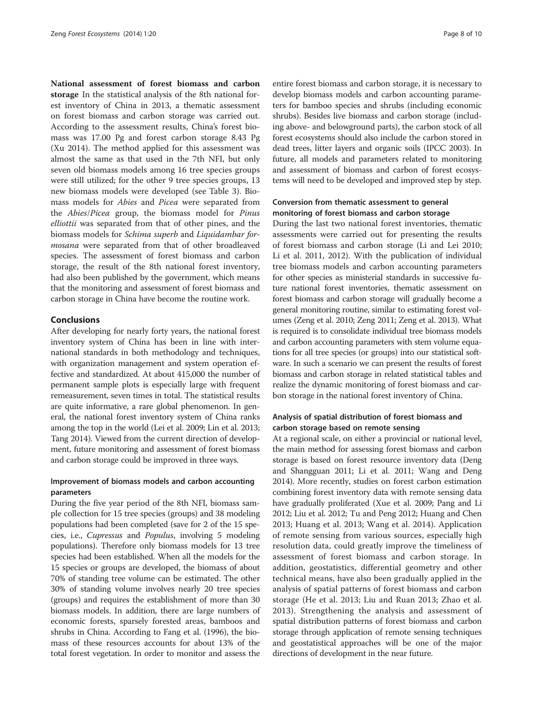National assessment of forest biomass and carbon storage In the statistical analysis of the 8th national forest inventory of China in 2013, a thematic assessment on forest biomass and carbon storage was carried out. According to the assessment results, China's forest biomass was 17.00 Pg and forest carbon storage 8.43 Pg (Xu [2014](#page-9-0)). The method applied for this assessment was almost the same as that used in the 7th NFI, but only seven old biomass models among 16 tree species groups were still utilized; for the other 9 tree species groups, 13 new biomass models were developed (see Table [3](#page-6-0)). Biomass models for Abies and Picea were separated from the Abies/Picea group, the biomass model for Pinus elliottii was separated from that of other pines, and the biomass models for Schima superb and Liquidambar formosana were separated from that of other broadleaved species. The assessment of forest biomass and carbon storage, the result of the 8th national forest inventory, had also been published by the government, which means that the monitoring and assessment of forest biomass and carbon storage in China have become the routine work.

#### Conclusions

After developing for nearly forty years, the national forest inventory system of China has been in line with international standards in both methodology and techniques, with organization management and system operation effective and standardized. At about 415,000 the number of permanent sample plots is especially large with frequent remeasurement, seven times in total. The statistical results are quite informative, a rare global phenomenon. In general, the national forest inventory system of China ranks among the top in the world (Lei et al. [2009](#page-8-0); Lin et al. [2013](#page-8-0); Tang [2014](#page-9-0)). Viewed from the current direction of development, future monitoring and assessment of forest biomass and carbon storage could be improved in three ways.

#### Improvement of biomass models and carbon accounting parameters

During the five year period of the 8th NFI, biomass sample collection for 15 tree species (groups) and 38 modeling populations had been completed (save for 2 of the 15 species, i.e., Cupressus and Populus, involving 5 modeling populations). Therefore only biomass models for 13 tree species had been established. When all the models for the 15 species or groups are developed, the biomass of about 70% of standing tree volume can be estimated. The other 30% of standing volume involves nearly 20 tree species (groups) and requires the establishment of more than 30 biomass models. In addition, there are large numbers of economic forests, sparsely forested areas, bamboos and shrubs in China. According to Fang et al. [\(1996](#page-8-0)), the biomass of these resources accounts for about 13% of the total forest vegetation. In order to monitor and assess the

entire forest biomass and carbon storage, it is necessary to develop biomass models and carbon accounting parameters for bamboo species and shrubs (including economic shrubs). Besides live biomass and carbon storage (including above- and belowground parts), the carbon stock of all forest ecosystems should also include the carbon stored in dead trees, litter layers and organic soils (IPCC [2003](#page-8-0)). In future, all models and parameters related to monitoring and assessment of biomass and carbon of forest ecosystems will need to be developed and improved step by step.

#### Conversion from thematic assessment to general monitoring of forest biomass and carbon storage

During the last two national forest inventories, thematic assessments were carried out for presenting the results of forest biomass and carbon storage (Li and Lei [2010](#page-8-0); Li et al. [2011, 2012](#page-8-0)). With the publication of individual tree biomass models and carbon accounting parameters for other species as ministerial standards in successive future national forest inventories, thematic assessment on forest biomass and carbon storage will gradually become a general monitoring routine, similar to estimating forest volumes (Zeng et al. [2010](#page-9-0); Zeng [2011;](#page-9-0) Zeng et al. [2013\)](#page-9-0). What is required is to consolidate individual tree biomass models and carbon accounting parameters with stem volume equations for all tree species (or groups) into our statistical software. In such a scenario we can present the results of forest biomass and carbon storage in related statistical tables and realize the dynamic monitoring of forest biomass and carbon storage in the national forest inventory of China.

#### Analysis of spatial distribution of forest biomass and carbon storage based on remote sensing

At a regional scale, on either a provincial or national level, the main method for assessing forest biomass and carbon storage is based on forest resource inventory data (Deng and Shangguan [2011](#page-8-0); Li et al. [2011](#page-8-0); Wang and Deng [2014](#page-9-0)). More recently, studies on forest carbon estimation combining forest inventory data with remote sensing data have gradually proliferated (Xue et al. [2009;](#page-9-0) Pang and Li [2012](#page-8-0); Liu et al. [2012](#page-8-0); Tu and Peng [2012;](#page-9-0) Huang and Chen [2013;](#page-8-0) Huang et al. [2013;](#page-8-0) Wang et al. [2014](#page-9-0)). Application of remote sensing from various sources, especially high resolution data, could greatly improve the timeliness of assessment of forest biomass and carbon storage. In addition, geostatistics, differential geometry and other technical means, have also been gradually applied in the analysis of spatial patterns of forest biomass and carbon storage (He et al. [2013;](#page-8-0) Liu and Ruan [2013;](#page-8-0) Zhao et al. [2013](#page-9-0)). Strengthening the analysis and assessment of spatial distribution patterns of forest biomass and carbon storage through application of remote sensing techniques and geostatistical approaches will be one of the major directions of development in the near future.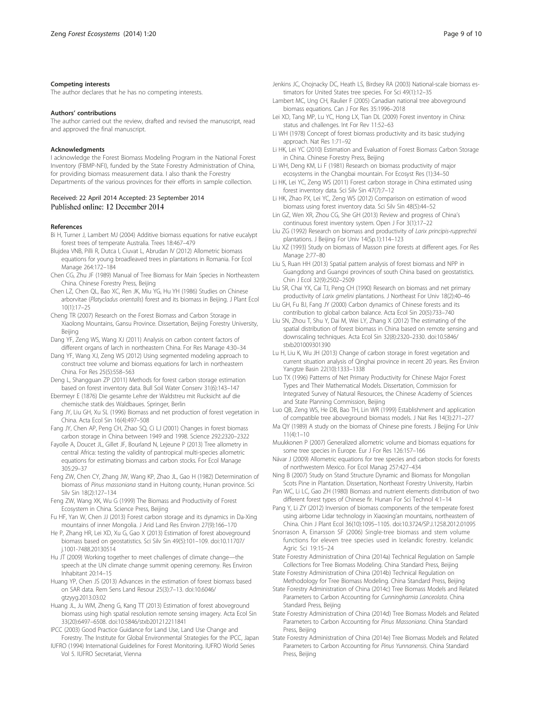#### <span id="page-8-0"></span>Competing interests

The author declares that he has no competing interests.

#### Authors' contributions

The author carried out the review, drafted and revised the manuscript, read and approved the final manuscript.

#### **Acknowledaments**

I acknowledge the Forest Biomass Modeling Program in the National Forest Inventory (FBMP-NFI), funded by the State Forestry Administration of China, for providing biomass measurement data. I also thank the Forestry Departments of the various provinces for their efforts in sample collection.

## Received: 22 April 2014 Accepted: 23 September 2014

#### References

- Bi H, Turner J, Lambert MJ (2004) Additive biomass equations for native eucalypt forest trees of temperate Australia. Trees 18:467–479
- Blujdea VNB, Pilli R, Dutca I, Ciuvat L, Abrudan IV (2012) Allometric biomass equations for young broadleaved trees in plantations in Romania. For Ecol Manage 264:172–184
- Chen CG, Zhu JF (1989) Manual of Tree Biomass for Main Species in Northeastern China. Chinese Forestry Press, Beijing
- Chen LZ, Chen QL, Bao XC, Ren JK, Miu YG, Hu YH (1986) Studies on Chinese arborvitae (Platycladus orientalis) forest and its biomass in Beijing. J Plant Ecol 10(1):17–25
- Cheng TR (2007) Research on the Forest Biomass and Carbon Storage in Xiaolong Mountains, Gansu Province. Dissertation, Beijing Forestry University, Beijing
- Dang YF, Zeng WS, Wang XJ (2011) Analysis on carbon content factors of different organs of larch in northeastern China. For Res Manage 4:30–34
- Dang YF, Wang XJ, Zeng WS (2012) Using segmented modeling approach to construct tree volume and biomass equations for larch in northeastern China. For Res 25(5):558–563
- Deng L, Shangguan ZP (2011) Methods for forest carbon storage estimation based on forest inventory data. Bull Soil Water Conserv 31(6):143–147
- Ebermeyr E (1876) Die gesamte Lehre der Waldstreu mit Rucksicht auf die chemische statik des Waldbaues. Springer, Berlin
- Fang JY, Liu GH, Xu SL (1996) Biomass and net production of forest vegetation in China. Acta Ecol Sin 16(4):497–508
- Fang JY, Chen AP, Peng CH, Zhao SQ, Ci LJ (2001) Changes in forest biomass carbon storage in China between 1949 and 1998. Science 292:2320–2322
- Fayolle A, Doucet JL, Gillet JF, Bourland N, Lejeune P (2013) Tree allometry in central Africa: testing the validity of pantropical multi-species allometric equations for estimating biomass and carbon stocks. For Ecol Manage 305:29–37
- Feng ZW, Chen CY, Zhang JW, Wang KP, Zhao JL, Gao H (1982) Determination of biomass of Pinus massoniana stand in Huitong county, Hunan province. Sci Silv Sin 18(2):127–134
- Feng ZW, Wang XK, Wu G (1999) The Biomass and Productivity of Forest Ecosystem in China. Science Press, Beijing
- Fu HF, Yan W, Chen JJ (2013) Forest carbon storage and its dynamics in Da-Xing mountains of inner Mongolia. J Arid Land Res Environ 27(9):166–170
- He P, Zhang HR, Lei XD, Xu G, Gao X (2013) Estimation of forest aboveground biomass based on geostatistics. Sci Silv Sin 49(5):101–109. doi:10.11707/ j.1001-7488.20130514
- Hu JT (2009) Working together to meet challenges of climate change—the speech at the UN climate change summit opening ceremony. Res Environ Inhabitant 20:14–15
- Huang YP, Chen JS (2013) Advances in the estimation of forest biomass based on SAR data. Rem Sens Land Resour 25(3):7–13. doi:10.6046/ gtzyyg.2013.03.02
- Huang JL, Ju WM, Zheng G, Kang TT (2013) Estimation of forest aboveground biomass using high spatial resolution remote sensing imagery. Acta Ecol Sin 33(20):6497–6508. doi:10.5846/stxb201212211841
- IPCC (2003) Good Practice Guidance for Land Use, Land Use Change and Forestry. The Institute for Global Environmental Strategies for the IPCC, Japan
- IUFRO (1994) International Guidelines for Forest Monitoring. IUFRO World Series Vol 5. IUFRO Secretariat, Vienna
- Jenkins JC, Chojnacky DC, Heath LS, Birdsey RA (2003) National-scale biomass estimators for United States tree species. For Sci 49(1):12–35
- Lambert MC, Ung CH, Raulier F (2005) Canadian national tree aboveground biomass equations. Can J For Res 35:1996–2018
- Lei XD, Tang MP, Lu YC, Hong LX, Tian DL (2009) Forest inventory in China: status and challenges. Int For Rev 11:52–63
- Li WH (1978) Concept of forest biomass productivity and its basic studying approach. Nat Res 1:71–92
- Li HK, Lei YC (2010) Estimation and Evaluation of Forest Biomass Carbon Storage in China. Chinese Forestry Press, Beijing
- Li WH, Deng KM, Li F (1981) Research on biomass productivity of major ecosystems in the Changbai mountain. For Ecosyst Res (1):34–50
- Li HK, Lei YC, Zeng WS (2011) Forest carbon storage in China estimated using forest inventory data. Sci Silv Sin 47(7):7–12
- Li HK, Zhao PX, Lei YC, Zeng WS (2012) Comparison on estimation of wood biomass using forest inventory data. Sci Silv Sin 48(5):44–52
- Lin GZ, Wen XR, Zhou CG, She GH (2013) Review and progress of China's continuous forest inventory system. Open J For 3(1):17–22
- Liu ZG (1992) Research on biomass and productivity of Larix principis-rupprechtii plantations. J Beijing For Univ 14(Sp.1):114–123
- Liu XZ (1993) Study on biomass of Masson pine forests at different ages. For Res Manage 2:77–80
- Liu S, Ruan HH (2013) Spatial pattern analysis of forest biomass and NPP in Guangdong and Guangxi provinces of south China based on geostatistics. Chin J Ecol 32(9):2502–2509
- Liu SR, Chai YX, Cai TJ, Peng CH (1990) Research on biomass and net primary productivity of Larix gmelini plantations. J Northeast For Univ 18(2):40–46
- Liu GH, Fu BJ, Fang JY (2000) Carbon dynamics of Chinese forests and its contribution to global carbon balance. Acta Ecol Sin 20(5):733–740
- Liu SN, Zhou T, Shu Y, Dai M, Wei LY, Zhang X (2012) The estimating of the spatial distribution of forest biomass in China based on remote sensing and downscaling techniques. Acta Ecol Sin 32(8):2320–2330. doi:10.5846/ stxb201009301390
- Lu H, Liu K, Wu JH (2013) Change of carbon storage in forest vegetation and current situation analysis of Qinghai province in recent 20 years. Res Environ Yangtze Basin 22(10):1333–1338
- Luo TX (1996) Patterns of Net Primary Productivity for Chinese Major Forest Types and Their Mathematical Models. Dissertation, Commission for Integrated Survey of Natural Resources, the Chinese Academy of Sciences and State Planning Commission, Beijing
- Luo QB, Zeng WS, He DB, Bao TH, Lin WR (1999) Establishment and application of compatible tree aboveground biomass models. J Nat Res 14(3):271–277
- Ma QY (1989) A study on the biomass of Chinese pine forests. J Beijing For Univ  $11(4):1-10$
- Muukkonen P (2007) Generalized allometric volume and biomass equations for some tree species in Europe. Eur J For Res 126:157–166
- Návar J (2009) Allometric equations for tree species and carbon stocks for forests of northwestern Mexico. For Ecol Manag 257:427–434
- Ning B (2007) Study on Stand Structure Dynamic and Biomass for Mongolian Scots Pine in Plantation. Dissertation, Northeast Forestry University, Harbin
- Pan WC, Li LC, Gao ZH (1980) Biomass and nutrient elements distribution of two different forest types of Chinese fir. Hunan For Sci Technol 4:1–14
- Pang Y, Li ZY (2012) Inversion of biomass components of the temperate forest using airborne Lidar technology in Xiaoxing'an mountains, northeastern of China. Chin J Plant Ecol 36(10):1095–1105. doi:10.3724/SP.J.1258.2012.01095
- Snorrason A, Einarsson SF (2006) Single-tree biomass and stem volume functions for eleven tree species used in Icelandic forestry. Icelandic Agric Sci 19:15–24
- State Forestry Administration of China (2014a) Technical Regulation on Sample Collections for Tree Biomass Modeling. China Standard Press, Beijing
- State Forestry Administration of China (2014b) Technical Regulation on Methodology for Tree Biomass Modeling. China Standard Press, Beijing
- State Forestry Administration of China (2014c) Tree Biomass Models and Related Parameters to Carbon Accounting for Cunninghamia Lanceolata. China Standard Press, Beijing
- State Forestry Administration of China (2014d) Tree Biomass Models and Related Parameters to Carbon Accounting for Pinus Massoniana. China Standard Press, Beijing
- State Forestry Administration of China (2014e) Tree Biomass Models and Related Parameters to Carbon Accounting for Pinus Yunnanensis. China Standard Press, Beijing